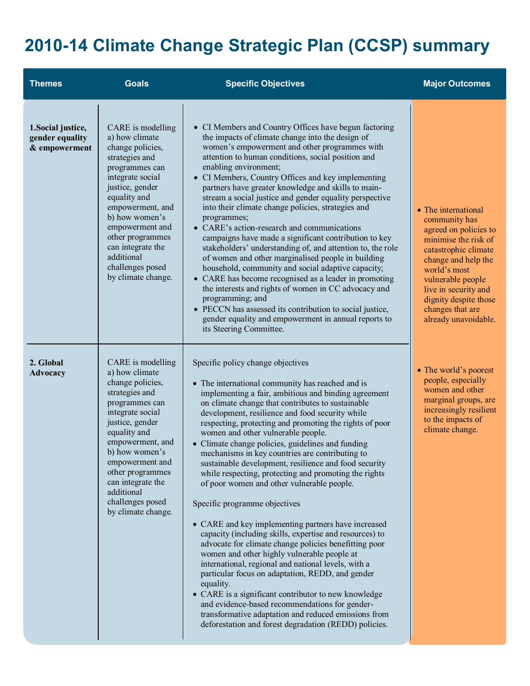## **2010-14 Climate Change Strategic Plan (CCSP) summary**

| <b>Themes</b>                                          | <b>Goals</b>                                                                                                                                                                                                                                                                                                 | <b>Specific Objectives</b>                                                                                                                                                                                                                                                                                                                                                                                                                                                                                                                                                                                                                                                                                                                                                                                                                                                                                                                                                                                                                                                                                                                                                                                                                   | <b>Major Outcomes</b>                                                                                                                                                                                                                                                  |
|--------------------------------------------------------|--------------------------------------------------------------------------------------------------------------------------------------------------------------------------------------------------------------------------------------------------------------------------------------------------------------|----------------------------------------------------------------------------------------------------------------------------------------------------------------------------------------------------------------------------------------------------------------------------------------------------------------------------------------------------------------------------------------------------------------------------------------------------------------------------------------------------------------------------------------------------------------------------------------------------------------------------------------------------------------------------------------------------------------------------------------------------------------------------------------------------------------------------------------------------------------------------------------------------------------------------------------------------------------------------------------------------------------------------------------------------------------------------------------------------------------------------------------------------------------------------------------------------------------------------------------------|------------------------------------------------------------------------------------------------------------------------------------------------------------------------------------------------------------------------------------------------------------------------|
| 1. Social justice,<br>gender equality<br>& empowerment | CARE is modelling<br>a) how climate<br>change policies,<br>strategies and<br>programmes can<br>integrate social<br>justice, gender<br>equality and<br>empowerment, and<br>b) how women's<br>empowerment and<br>other programmes<br>can integrate the<br>additional<br>challenges posed<br>by climate change. | • CI Members and Country Offices have begun factoring<br>the impacts of climate change into the design of<br>women's empowerment and other programmes with<br>attention to human conditions, social position and<br>enabling environment;<br>• CI Members, Country Offices and key implementing<br>partners have greater knowledge and skills to main-<br>stream a social justice and gender equality perspective<br>into their climate change policies, strategies and<br>programmes;<br>• CARE's action-research and communications<br>campaigns have made a significant contribution to key<br>stakeholders' understanding of, and attention to, the role<br>of women and other marginalised people in building<br>household, community and social adaptive capacity;<br>• CARE has become recognised as a leader in promoting<br>the interests and rights of women in CC advocacy and<br>programming; and<br>• PECCN has assessed its contribution to social justice,<br>gender equality and empowerment in annual reports to<br>its Steering Committee.                                                                                                                                                                                 | • The international<br>community has<br>agreed on policies to<br>minimise the risk of<br>catastrophic climate<br>change and help the<br>world's most<br>vulnerable people<br>live in security and<br>dignity despite those<br>changes that are<br>already unavoidable. |
| 2. Global<br>Advocacy                                  | CARE is modelling<br>a) how climate<br>change policies,<br>strategies and<br>programmes can<br>integrate social<br>justice, gender<br>equality and<br>empowerment, and<br>b) how women's<br>empowerment and<br>other programmes<br>can integrate the<br>additional<br>challenges posed<br>by climate change. | Specific policy change objectives<br>• The international community has reached and is<br>implementing a fair, ambitious and binding agreement<br>on climate change that contributes to sustainable<br>development, resilience and food security while<br>respecting, protecting and promoting the rights of poor<br>women and other vulnerable people.<br>• Climate change policies, guidelines and funding<br>mechanisms in key countries are contributing to<br>sustainable development, resilience and food security<br>while respecting, protecting and promoting the rights<br>of poor women and other vulnerable people.<br>Specific programme objectives<br>• CARE and key implementing partners have increased<br>capacity (including skills, expertise and resources) to<br>advocate for climate change policies benefitting poor<br>women and other highly vulnerable people at<br>international, regional and national levels, with a<br>particular focus on adaptation, REDD, and gender<br>equality.<br>• CARE is a significant contributor to new knowledge<br>and evidence-based recommendations for gender-<br>transformative adaptation and reduced emissions from<br>deforestation and forest degradation (REDD) policies. | • The world's poorest<br>people, especially<br>women and other<br>marginal groups, are<br>increasingly resilient<br>to the impacts of<br>climate change.                                                                                                               |